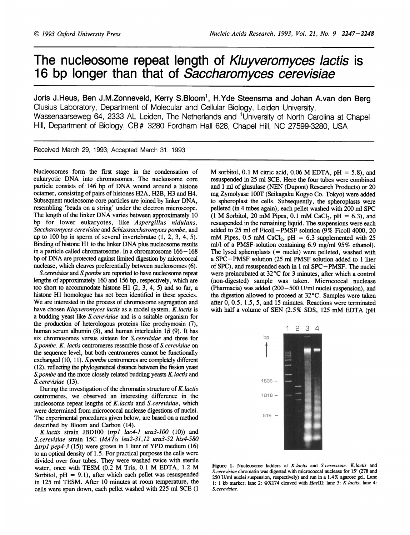## The nucleosome repeat length of Kluyveromyces lactis is 16 bp longer than that of Saccharomyces cerevisiae

Joris J.Heus, Ben J.M.Zonneveld, Kerry S.Bloom<sup>1</sup>, H.Yde Steensma and Johan A.van den Berg Clusius Laboratory, Department of Molecular and Cellular Biology, Leiden University, Wassenaarseweg 64, 2333 AL Leiden, The Netherlands and <sup>1</sup>University of North Carolina at Chapel Hill, Department of Biology, CB# 3280 Fordham Hall 628, Chapel Hill, NC 27599-3280, USA

Received March 29, 1993; Accepted March 31, 1993

Nucleosomes form the first stage in the condensation of eukaryotic DNA into chromosomes. The nucleosome core particle consists of <sup>146</sup> bp of DNA wound around <sup>a</sup> histone octamer, consisting of pairs of histones H2A, H2B, H3 and H4. Subsequent nucleosome core particles are joined by linker DNA, resembling 'beads on a string' under the electron microscope. The length of the linker DNA varies between approximately <sup>10</sup> bp for lower eukaryotes, like Aspergillus nidulans, Saccharomyces cerevisiae and Schizosaccharomyces pombe, and up to 100 bp in sperm of several invertebratae (1, 2, 3, 4, 5). Binding of histone H1 to the linker DNA plus nucleosome results in a particle called chromatosome. In a chromatosome 166-168 bp of DNA are protected against limited digestion by micrococcal nuclease, which cleaves preferentially between nucleosomes (6).

S.cerevisiae and S.pombe are reported to have nucleosome repeat lengths of approximately 160 and 156 bp, respectively, which are too short to accommodate histone Hi (2, 3, 4, 5) and so far, a histone HI homologue has not been identified in these species. We are interested in the process of chromosome segregation and have chosen Kluyveromyces lactis as a model system. K. lactis is a budding yeast like S. cerevisiae and is a suitable organism for the production of heterologous proteins like prochymosin (7), human serum albumin (8), and human interleukin  $1\beta$  (9). It has six chromosomes versus sixteen for S. cerevisiae and three for S.pombe. K. lactis centromeres resemble those of S.cerevisiae on the sequence level, but both centromeres cannot be functionally exchanged (10, 11). S.pombe centromeres are completely different (12), reflecting the phylogenetical distance between the fission yeast S.pombe and the more closely related budding yeasts K. lactis and S. cerevisiae (13).

During the investigation of the chromatin structure of  $K$ . *lactis* centromeres, we observed an interesting difference in the nucleosome repeat lengths of K. lactis and S. cerevisiae, which were determined from micrococcal nuclease digestions of nuclei. The experimental procedures given below, are based on a method described by Bloom and Carbon (14).

K.lactis strain JBD100 (trp1 lac4-1 ura3-100  $(10)$ ) and S.cerevisiae strain 15C (MATa leu2-31,12 ura3-52 his4-580  $\Delta$ *trp1 pep4-3* (15)) were grown in 1 liter of YPD medium (16) to an optical density of 1.5. For practical purposes the cells were divided over four tubes. They were washed twice with sterile water, once with TESM (0.2 M Tris, 0.1 M EDTA, 1.2 M Sorbitol,  $pH = 9.1$ , after which each pellet was resuspended in 125 ml TESM. After 10 minutes at room temperature, the cells were spun down, each pellet washed with 225 ml SCE (1 M sorbitol, 0.1 M citric acid, 0.06 M EDTA,  $pH = 5.8$ ), and resuspended in 25 ml SCE. Here the four tubes were combined and <sup>1</sup> ml of glusulase (NEN (Dupont) Research Products) or 20 mg Zymolyase lOOT (Seikagaku Kogyo Co. Tokyo) were added to spheroplast the cells. Subsequently, the spheroplasts were pelleted (in 4 tubes again), each pellet washed with 200 ml SPC (1 M Sorbitol, 20 mM Pipes, 0.1 mM CaCl<sub>2</sub>, pH = 6.3), and resuspended in the remaining liquid. The suspensions were each added to 25 ml of Ficoll  $-PMSF$  solution (9% Ficoll 4000, 20 mM Pipes, 0.5 mM CaCl<sub>2</sub>, pH = 6.3 supplemented with 25 ml/l of a PMSF-solution containing 6.9 mg/ml 95% ethanol). The lysed spheroplasts  $(=$  nuclei) were pelleted, washed with <sup>a</sup> SPC -PMSF solution (25 ml PMSF solution added to <sup>1</sup> liter of SPC), and resuspended each in <sup>1</sup> ml SPC -PMSF. The nuclei were preincubated at 32°C for 3 minutes, after which a control (non-digested) sample was taken. Micrococcal nuclease (Pharmacia) was added (200-500 U/ml nuclei suspension), and the digestion allowed to proceed at 32°C. Samples were taken after 0, 0.5, 1.5, 5, and 15 minutes. Reactions were terminated with half <sup>a</sup> volume of SEN (2.5% SDS, <sup>125</sup> mM EDTA (pH



Figure 1. Nucleosome ladders of K.lactis and S. cerevisiae. K. lactis and S.cerevisiae chromatin was digested with micrococcal nuclease for <sup>15</sup>' (278 and 250 U/ml nuclei suspension, respectively) and run in a 1.4% agarose gel. Lane 1: 1 kb marker; lane 2:  $\Phi$ X174 cleaved with HaeIII; lane 3: K.lactis; lane 4: S.cerevisiae.